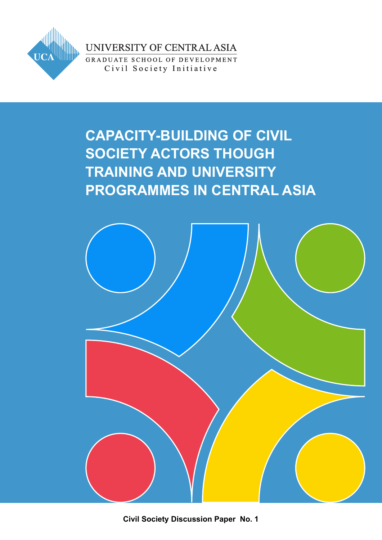

UNIVERSITY OF CENTRAL ASIA

GRADUATE SCHOOL OF DEVELOPMENT Civil Society Initiative

## **CAPACITY-BUILDING OF CIVIL SOCIETY ACTORS THOUGH TRAINING AND UNIVERSITY PROGRAMMES IN CENTRAL ASIA**



**Civil Society Discussion Paper No. 1**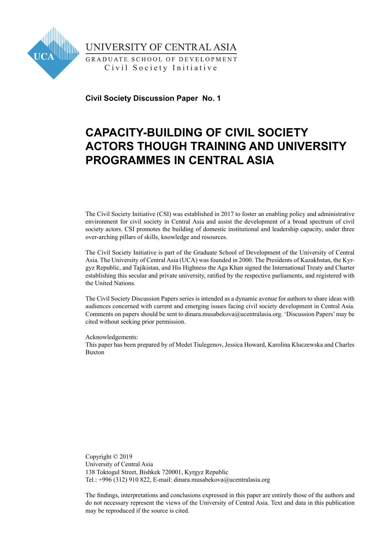

UNIVERSITY OF CENTRAL ASIA

GRADUATE SCHOOL OF DEVELOPMENT Civil Society Initiative

**Civil Society Discussion Paper No. 1**

## **CAPACITY-BUILDING OF CIVIL SOCIETY ACTORS THOUGH TRAINING AND UNIVERSITY PROGRAMMES IN CENTRAL ASIA**

The Civil Society Initiative (CSI) was established in 2017 to foster an enabling policy and administrative environment for civil society in Central Asia and assist the development of a broad spectrum of civil society actors. CSI promotes the building of domestic institutional and leadership capacity, under three over-arching pillars of skills, knowledge and resources.

The Civil Society Initiative is part of the Graduate School of Development of the University of Central Asia. The University of Central Asia (UCA) was founded in 2000. The Presidents of Kazakhstan, the Kyrgyz Republic, and Tajikistan, and His Highness the Aga Khan signed the International Treaty and Charter establishing this secular and private university, ratified by the respective parliaments, and registered with the United Nations.

The Civil Society Discussion Papers series is intended as a dynamic avenue for authors to share ideas with audiences concerned with current and emerging issues facing civil society development in Central Asia. Comments on papers should be sent to dinara.musabekova@ucentralasia.org. 'Discussion Papers' may be cited without seeking prior permission.

Acknowledgements:

This paper has been prepared by of Medet Tiulegenov, Jessica Howard, Karolina Kluczewska and Charles Buxton

Copyright © 2019 University of Central Asia 138 Toktogul Street, Bishkek 720001, Kyrgyz Republic Tel.: +996 (312) 910 822, E-mail: dinara.musabekova@ucentralasia.org

The findings, interpretations and conclusions expressed in this paper are entirely those of the authors and do not necessary represent the views of the University of Central Asia. Text and data in this publication may be reproduced if the source is cited.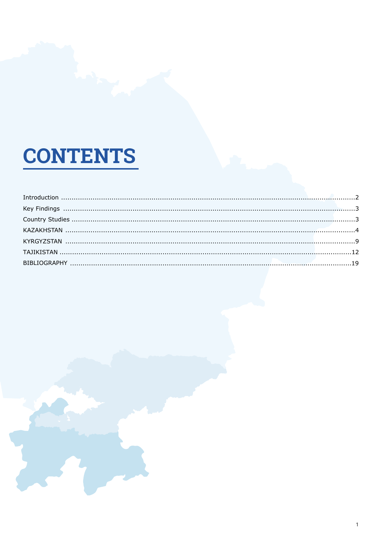# **CONTENTS**

| $\label{eq:interadd} \begin{minipage}{0.9\linewidth} In traditional, \textit{untrivial}, \textit{untrivial}, \textit{untrivial}, \textit{untrivial}, \textit{untrivial}, \textit{untrivial}, \textit{untrivial}, \textit{untrivial}, \textit{untrivial}, \textit{untrivial}, \textit{untrivial}, \textit{untrivial}, \textit{untrivial}, \textit{untrivial}, \textit{untrivial}, \textit{untrivial}, \textit{untrivial}, \textit{untrivial}, \textit{untrivial}, \textit{untrivial}, \textit{untrivial}, \textit{untrivial}, \textit{untrivial}, \textit{untrivial}, \textit{$ |  |
|--------------------------------------------------------------------------------------------------------------------------------------------------------------------------------------------------------------------------------------------------------------------------------------------------------------------------------------------------------------------------------------------------------------------------------------------------------------------------------------------------------------------------------------------------------------------------------|--|
|                                                                                                                                                                                                                                                                                                                                                                                                                                                                                                                                                                                |  |
|                                                                                                                                                                                                                                                                                                                                                                                                                                                                                                                                                                                |  |
|                                                                                                                                                                                                                                                                                                                                                                                                                                                                                                                                                                                |  |
|                                                                                                                                                                                                                                                                                                                                                                                                                                                                                                                                                                                |  |
|                                                                                                                                                                                                                                                                                                                                                                                                                                                                                                                                                                                |  |
|                                                                                                                                                                                                                                                                                                                                                                                                                                                                                                                                                                                |  |
|                                                                                                                                                                                                                                                                                                                                                                                                                                                                                                                                                                                |  |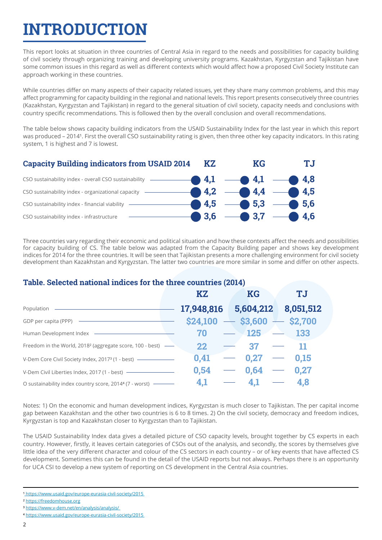## **INTRODUCTION**

This report looks at situation in three countries of Central Asia in regard to the needs and possibilities for capacity building of civil society through organizing training and developing university programs. Kazakhstan, Kyrgyzstan and Tajikistan have some common issues in this regard as well as different contexts which would affect how a proposed Civil Society Institute can approach working in these countries.

While countries differ on many aspects of their capacity related issues, yet they share many common problems, and this may affect programming for capacity building in the regional and national levels. This report presents consecutively three countries (Kazakhstan, Kyrgyzstan and Tajikistan) in regard to the general situation of civil society, capacity needs and conclusions with country specific recommendations. This is followed then by the overall conclusion and overall recommendations.

The table below shows capacity building indicators from the USAID Sustainability Index for the last year in which this report was produced - 20141. First the overall CSO sustainability rating is given, then three other key capacity indicators. In this rating system, 1 is highest and 7 is lowest.



Three countries vary regarding their economic and political situation and how these contexts affect the needs and possibilities for capacity building of CS. The table below was adapted from the Capacity Building paper and shows key development indices for 2014 for the three countries. It will be seen that Tajikistan presents a more challenging environment for civil society development than Kazakhstan and Kyrgyzstan. The latter two countries are more similar in some and differ on other aspects.

#### **Table. Selected national indices for the three countries (2014)**

|                                                                                              | <b>KZ</b>                        |  | <b>KG</b>         |  | <b>TJ</b>   |  |
|----------------------------------------------------------------------------------------------|----------------------------------|--|-------------------|--|-------------|--|
|                                                                                              | 17,948,816  5,604,212  8,051,512 |  |                   |  |             |  |
| GDP per capita (PPP) ————————————————————                                                    | $$24,100$ - \$3,600 - \$2,700    |  |                   |  |             |  |
| Human Development Index <b>- The Contract of August 2016</b>                                 | 70                               |  | $-$ 125 $-$ 133   |  |             |  |
| Freedom in the World, 2018 <sup>2</sup> (aggregate score, 100 - best) -                      | 22                               |  | $-$ 37            |  | -11         |  |
| V-Dem Core Civil Society Index, 2017 <sup>3</sup> (1 - best) - - - - - - - - - - - - - - - - | 0,41                             |  | $-$ 0.27 $-$ 0.15 |  |             |  |
|                                                                                              | 0.54                             |  | $-$ 0.64          |  | $\sim$ 0.27 |  |
|                                                                                              | 4,1                              |  | 4.1               |  | 4,8         |  |

Notes: 1) On the economic and human development indices, Kyrgyzstan is much closer to Tajikistan. The per capital income gap between Kazakhstan and the other two countries is 6 to 8 times. 2) On the civil society, democracy and freedom indices, Kyrgyzstan is top and Kazakhstan closer to Kyrgyzstan than to Tajikistan.

The USAID Sustainability Index data gives a detailed picture of CSO capacity levels, brought together by CS experts in each country. However, firstly, it leaves certain categories of CSOs out of the analysis, and secondly, the scores by themselves give little idea of the very different character and colour of the CS sectors in each country – or of key events that have affected CS development. Sometimes this can be found in the detail of the USAID reports but not always. Perhaps there is an opportunity for UCA CSI to develop a new system of reporting on CS development in the Central Asia countries.

<sup>1</sup> https://www.usaid.gov/europe-eurasia-civil-society/2015

² https://freedomhouse.org

³ https://www.v-dem.net/en/analysis/analysis/

⁴ https://www.usaid.gov/europe-eurasia-civil-society/2015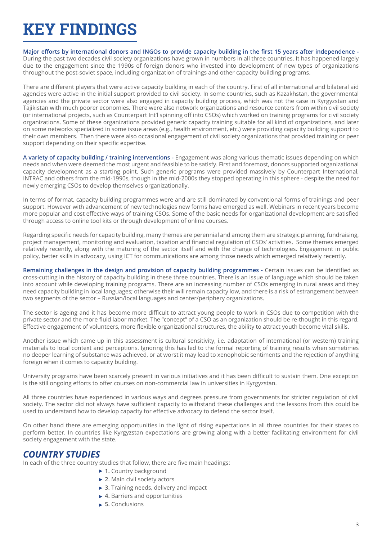## **KEY FINDINGS**

#### **Major efforts by international donors and INGOs to provide capacity building in the first 15 years after independence -**

During the past two decades civil society organizations have grown in numbers in all three countries. It has happened largely due to the engagement since the 1990s of foreign donors who invested into development of new types of organizations throughout the post-soviet space, including organization of trainings and other capacity building programs.

There are different players that were active capacity building in each of the country. First of all international and bilateral aid agencies were active in the initial support provided to civil society. In some countries, such as Kazakhstan, the governmental agencies and the private sector were also engaged in capacity building process, which was not the case in Kyrgyzstan and Tajikistan with much poorer economies. There were also network organizations and resource centers from within civil society (or international projects, such as Counterpart Int'l spinning off into CSOs) which worked on training programs for civil society organizations. Some of these organizations provided generic capacity training suitable for all kind of organizations, and later on some networks specialized in some issue areas (e.g., health environment, etc.) were providing capacity building support to their own members. Then there were also occasional engagement of civil society organizations that provided training or peer support depending on their specific expertise.

**A variety of capacity building / training interventions -** Engagement was along various thematic issues depending on which needs and when were deemed the most urgent and feasible to be satisfy. First and foremost, donors supported organizational capacity development as a starting point. Such generic programs were provided massively by Counterpart International, INTRAC and others from the mid-1990s, though in the mid-2000s they stopped operating in this sphere - despite the need for newly emerging CSOs to develop themselves organizationally.

In terms of format, capacity building programmes were and are still dominated by conventional forms of trainings and peer support. However with advancement of new technologies new forms have emerged as well. Webinars in recent years become more popular and cost effective ways of training CSOs. Some of the basic needs for organizational development are satisfied through access to online tool kits or through development of online courses.

Regarding specific needs for capacity building, many themes are perennial and among them are strategic planning, fundraising, project management, monitoring and evaluation, taxation and financial regulation of CSOs' activities. Some themes emerged relatively recently, along with the maturing of the sector itself and with the change of technologies. Engagement in public policy, better skills in advocacy, using ICT for communications are among those needs which emerged relatively recently.

**Remaining challenges in the design and provision of capacity building programmes -** Certain issues can be identified as cross-cutting in the history of capacity building in these three countries. There is an issue of language which should be taken into account while developing training programs. There are an increasing number of CSOs emerging in rural areas and they need capacity building in local languages; otherwise their will remain capacity low, and there is a risk of estrangement between two segments of the sector – Russian/local languages and center/periphery organizations.

The sector is ageing and it has become more difficult to attract young people to work in CSOs due to competition with the private sector and the more fluid labor market. The "concept" of a CSO as an organization should be re-thought in this regard. Effective engagement of volunteers, more flexible organizational structures, the ability to attract youth become vital skills.

Another issue which came up in this assessment is cultural sensitivity, i.e. adaptation of international (or western) training materials to local context and perceptions. Ignoring this has led to the formal reporting of training results when sometimes no deeper learning of substance was achieved, or at worst it may lead to xenophobic sentiments and the rejection of anything foreign when it comes to capacity building.

University programs have been scarcely present in various initiatives and it has been difficult to sustain them. One exception is the still ongoing efforts to offer courses on non-commercial law in universities in Kyrgyzstan.

All three countries have experienced in various ways and degrees pressure from governments for stricter regulation of civil society. The sector did not always have sufficient capacity to withstand these challenges and the lessons from this could be used to understand how to develop capacity for effective advocacy to defend the sector itself.

On other hand there are emerging opportunities in the light of rising expectations in all three countries for their states to perform better. In countries like Kyrgyzstan expectations are growing along with a better facilitating environment for civil society engagement with the state.

#### *COUNTRY STUDIES*

In each of the three country studies that follow, there are five main headings:

- ▶ 1. Country background
- **2.** Main civil society actors
- **3.** Training needs, delivery and impact
- ▶ 4. Barriers and opportunities
- **5.** Conclusions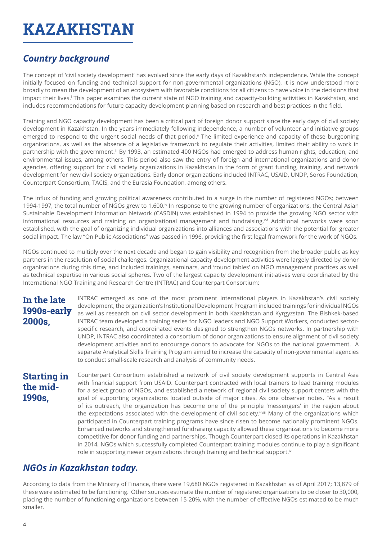## **KAZAKHSTAN**

## *Country background*

The concept of 'civil society development' has evolved since the early days of Kazakhstan's independence. While the concept initially focused on funding and technical support for non-governmental organizations (NGO), it is now understood more broadly to mean the development of an ecosystem with favorable conditions for all citizens to have voice in the decisions that impact their lives. This paper examines the current state of NGO training and capacity-building activities in Kazakhstan, and includes recommendations for future capacity development planning based on research and best practices in the field.

Training and NGO capacity development has been a critical part of foreign donor support since the early days of civil society development in Kazakhstan. In the years immediately following independence, a number of volunteer and initiative groups emerged to respond to the urgent social needs of that period.<sup>ii</sup> The limited experience and capacity of these burgeoning organizations, as well as the absence of a legislative framework to regulate their activities, limited their ability to work in partnership with the government.<sup>iii</sup> By 1993, an estimated 400 NGOs had emerged to address human rights, education, and environmental issues, among others. This period also saw the entry of foreign and international organizations and donor agencies, offering support for civil society organizations in Kazakhstan in the form of grant funding, training, and network development for new civil society organizations. Early donor organizations included INTRAC, USAID, UNDP, Soros Foundation, Counterpart Consortium, TACIS, and the Eurasia Foundation, among others.

The influx of funding and growing political awareness contributed to a surge in the number of registered NGOs; between 1994-1997, the total number of NGOs grew to 1,600.<sup>iv</sup> In response to the growing number of organizations, the Central Asian Sustainable Development Information Network (CASDIN) was established in 1994 to provide the growing NGO sector with informational resources and training on organizational management and fundraising.<sup>wi</sup> Additional networks were soon established, with the goal of organizing individual organizations into alliances and associations with the potential for greater social impact. The law "On Public Associations" was passed in 1996, providing the first legal framework for the work of NGOs.

NGOs continued to multiply over the next decade and began to gain visibility and recognition from the broader public as key partners in the resolution of social challenges. Organizational capacity development activities were largely directed by donor organizations during this time, and included trainings, seminars, and 'round tables' on NGO management practices as well as technical expertise in various social spheres. Two of the largest capacity development initiatives were coordinated by the International NGO Training and Research Centre (INTRAC) and Counterpart Consortium:

#### **In the late 1990s-early 2000s,**

INTRAC emerged as one of the most prominent international players in Kazakhstan's civil society development; the organization's Institutional Development Program included trainings for individual NGOs as well as research on civil sector development in both Kazakhstan and Kyrgyzstan. The Bishkek-based INTRAC team developed a training series for NGO leaders and NGO Support Workers, conducted sectorspecific research, and coordinated events designed to strengthen NGOs networks. In partnership with UNDP, INTRAC also coordinated a consortium of donor organizations to ensure alignment of civil society development activities and to encourage donors to advocate for NGOs to the national government. A separate Analytical Skills Training Program aimed to increase the capacity of non-governmental agencies to conduct small-scale research and analysis of community needs.

#### **Starting in the mid-1990s,**

Counterpart Consortium established a network of civil society development supports in Central Asia with financial support from USAID. Counterpart contracted with local trainers to lead training modules for a select group of NGOs, and established a network of regional civil society support centers with the goal of supporting organizations located outside of major cities. As one observer notes, "As a result of its outreach, the organization has become one of the principle 'messengers' in the region about the expectations associated with the development of civil society."viii Many of the organizations which participated in Counterpart training programs have since risen to become nationally prominent NGOs. Enhanced networks and strengthened fundraising capacity allowed these organizations to become more competitive for donor funding and partnerships. Though Counterpart closed its operations in Kazakhstan in 2014, NGOs which successfully completed Counterpart training modules continue to play a significant role in supporting newer organizations through training and technical support.<sup>ix</sup>

#### *NGOs in Kazakhstan today.*

According to data from the Ministry of Finance, there were 19,680 NGOs registered in Kazakhstan as of April 2017; 13,879 of these were estimated to be functioning. Other sources estimate the number of registered organizations to be closer to 30,000, placing the number of functioning organizations between 15-20%, with the number of effective NGOs estimated to be much smaller.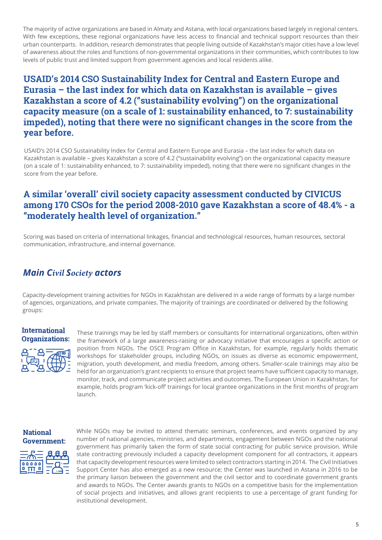The majority of active organizations are based in Almaty and Astana, with local organizations based largely in regional centers. With few exceptions, these regional organizations have less access to financial and technical support resources than their urban counterparts. In addition, research demonstrates that people living outside of Kazakhstan's major cities have a low level of awareness about the roles and functions of non-governmental organizations in their communities, which contributes to low levels of public trust and limited support from government agencies and local residents alike.

#### **USAID's 2014 CSO Sustainability Index for Central and Eastern Europe and Eurasia – the last index for which data on Kazakhstan is available – gives Kazakhstan a score of 4.2 ("sustainability evolving") on the organizational capacity measure (on a scale of 1: sustainability enhanced, to 7: sustainability impeded), noting that there were no significant changes in the score from the year before.**

USAID's 2014 CSO Sustainability Index for Central and Eastern Europe and Eurasia – the last index for which data on Kazakhstan is available – gives Kazakhstan a score of 4.2 ("sustainability evolving") on the organizational capacity measure (on a scale of 1: sustainability enhanced, to 7: sustainability impeded), noting that there were no significant changes in the score from the year before.

#### **A similar 'overall' civil society capacity assessment conducted by CIVICUS among 170 CSOs for the period 2008-2010 gave Kazakhstan a score of 48.4% - a "moderately health level of organization."**

Scoring was based on criteria of international linkages, financial and technological resources, human resources, sectoral communication, infrastructure, and internal governance.

#### *Main Civil Society actors*

Capacity-development training activities for NGOs in Kazakhstan are delivered in a wide range of formats by a large number of agencies, organizations, and private companies. The majority of trainings are coordinated or delivered by the following groups:

#### **International Organizations:**



These trainings may be led by staff members or consultants for international organizations, often within the framework of a large awareness-raising or advocacy initiative that encourages a specific action or position from NGOs. The OSCE Program Office in Kazakhstan, for example, regularly holds thematic workshops for stakeholder groups, including NGOs, on issues as diverse as economic empowerment, migration, youth development, and media freedom, among others. Smaller-scale trainings may also be held for an organization's grant recipients to ensure that project teams have sufficient capacity to manage, monitor, track, and communicate project activities and outcomes. The European Union in Kazakhstan, for example, holds program 'kick-off' trainings for local grantee organizations in the first months of program launch.

#### **National Government:**



While NGOs may be invited to attend thematic seminars, conferences, and events organized by any number of national agencies, ministries, and departments, engagement between NGOs and the national government has primarily taken the form of state social contracting for public service provision. While state contracting previously included a capacity development component for all contractors, it appears that capacity development resources were limited to select contractors starting in 2014. The Civil Initiatives Support Center has also emerged as a new resource; the Center was launched in Astana in 2016 to be the primary liaison between the government and the civil sector and to coordinate government grants and awards to NGOs. The Center awards grants to NGOs on a competitive basis for the implementation of social projects and initiatives, and allows grant recipients to use a percentage of grant funding for institutional development.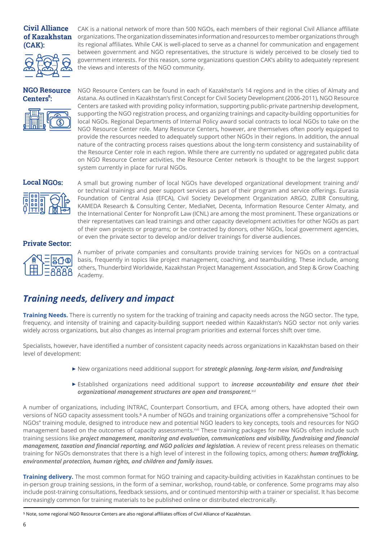#### **Civil Alliance of Kazakhstan (CAK):**



CAK is a national network of more than 500 NGOs, each members of their regional Civil Alliance affiliate organizations. The organization disseminates information and resources to member organizations through its regional affiliates. While CAK is well-placed to serve as a channel for communication and engagement between government and NGO representatives, the structure is widely perceived to be closely tied to government interests. For this reason, some organizations question CAK's ability to adequately represent the views and interests of the NGO community.

#### **NGO Resource Centers :**



NGO Resource Centers can be found in each of Kazakhstan's 14 regions and in the cities of Almaty and Astana. As outlined in Kazakhstan's first Concept for Civil Society Development (2006-2011), NGO Resource Centers are tasked with providing policy information, supporting public-private partnership development, supporting the NGO registration process, and organizing trainings and capacity-building opportunities for local NGOs. Regional Departments of Internal Policy award social contracts to local NGOs to take on the NGO Resource Center role. Many Resource Centers, however, are themselves often poorly equipped to provide the resources needed to adequately support other NGOs in their regions. In addition, the annual nature of the contracting process raises questions about the long-term consistency and sustainability of the Resource Center role in each region. While there are currently no updated or aggregated public data on NGO Resource Center activities, the Resource Center network is thought to be the largest support system currently in place for rural NGOs.

#### **Local NGOs:**



A small but growing number of local NGOs have developed organizational development training and/ or technical trainings and peer support services as part of their program and service offerings. Eurasia Foundation of Central Asia (EFCA), Civil Society Development Organization ARGO, ZUBR Consulting, KAMEDA Research & Consulting Center, MediaNet, Decenta, Information Resource Center Almaty, and the International Center for Nonprofit Law (ICNL) are among the most prominent. These organizations or their representatives can lead trainings and other capacity development activities for other NGOs as part of their own projects or programs; or be contracted by donors, other NGOs, local government agencies, or even the private sector to develop and/or deliver trainings for diverse audiences.

#### **Private Sector:**



A number of private companies and consultants provide training services for NGOs on a contractual basis, frequently in topics like project management, coaching, and teambuilding. These include, among others, Thunderbird Worldwide, Kazakhstan Project Management Association, and Step & Grow Coaching Academy.

### *Training needs, delivery and impact*

**Training Needs.** There is currently no system for the tracking of training and capacity needs across the NGO sector. The type, frequency, and intensity of training and capacity-building support needed within Kazakhstan's NGO sector not only varies widely across organizations, but also changes as internal program priorities and external forces shift over time.

Specialists, however, have identified a number of consistent capacity needs across organizations in Kazakhstan based on their level of development:

- New organizations need additional support for *strategic planning, long-term vision, and fundraising*
- Established organizations need additional support to *increase accountability and ensure that their organizational management structures are open and transparent.*xvi

A number of organizations, including INTRAC, Counterpart Consortium, and EFCA, among others, have adopted their own versions of NGO capacity assessment tools.<sup>6</sup> A number of NGOs and training organizations offer a comprehensive "School for NGOs" training module, designed to introduce new and potential NGO leaders to key concepts, tools and resources for NGO management based on the outcomes of capacity assessments.<sup>xvii</sup> These training packages for new NGOs often include such training sessions like *project management, monitoring and evaluation, communications and visibility, fundraising and financial management, taxation and financial reporting, and NGO policies and legislation.* A review of recent press releases on thematic training for NGOs demonstrates that there is a high level of interest in the following topics, among others: *human trafficking, environmental protection, human rights, and children and family issues.* 

**Training delivery.** The most common format for NGO training and capacity-building activities in Kazakhstan continues to be in-person group training sessions, in the form of a seminar, workshop, round-table, or conference. Some programs may also include post-training consultations, feedback sessions, and or continued mentorship with a trainer or specialist. It has become increasingly common for training materials to be published online or distributed electronically.

⁵ Note, some regional NGO Resource Centers are also regional affiliates offices of Civil Alliance of Kazakhstan.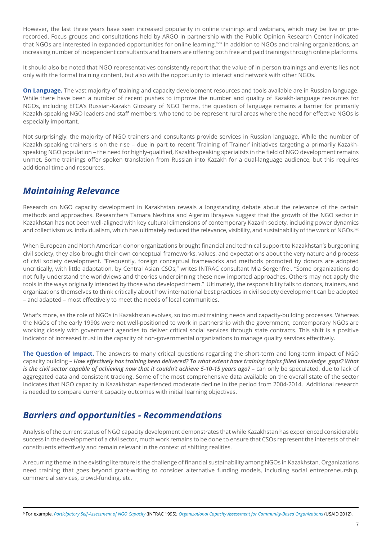However, the last three years have seen increased popularity in online trainings and webinars, which may be live or prerecorded. Focus groups and consultations held by ARGO in partnership with the Public Opinion Research Center indicated that NGOs are interested in expanded opportunities for online learning.<sup>xviii</sup> In addition to NGOs and training organizations, an increasing number of independent consultants and trainers are offering both free and paid trainings through online platforms.

It should also be noted that NGO representatives consistently report that the value of in-person trainings and events lies not only with the formal training content, but also with the opportunity to interact and network with other NGOs.

**On Language.** The vast majority of training and capacity development resources and tools available are in Russian language. While there have been a number of recent pushes to improve the number and quality of Kazakh-language resources for NGOs, including EFCA's Russian-Kazakh Glossary of NGO Terms, the question of language remains a barrier for primarily Kazakh-speaking NGO leaders and staff members, who tend to be represent rural areas where the need for effective NGOs is especially important.

Not surprisingly, the majority of NGO trainers and consultants provide services in Russian language. While the number of Kazakh-speaking trainers is on the rise - due in part to recent Training of Trainer' initiatives targeting a primarily Kazakhspeaking NGO population – the need for highly-qualified, Kazakh-speaking specialists in the field of NGO development remains unmet. Some trainings offer spoken translation from Russian into Kazakh for a dual-language audience, but this requires additional time and resources.

### *Maintaining Relevance*

Research on NGO capacity development in Kazakhstan reveals a longstanding debate about the relevance of the certain methods and approaches. Researchers Tamara Nezhina and Aigerim Ibrayeva suggest that the growth of the NGO sector in Kazakhstan has not been well-aligned with key cultural dimensions of contemporary Kazakh society, including power dynamics and collectivism vs. individualism, which has ultimately reduced the relevance, visibility, and sustainability of the work of NGOs.xix

When European and North American donor organizations brought financial and technical support to Kazakhstan's burgeoning civil society, they also brought their own conceptual frameworks, values, and expectations about the very nature and process of civil society development. "Frequently, foreign conceptual frameworks and methods promoted by donors are adopted uncritically, with little adaptation, by Central Asian CSOs," writes INTRAC consultant Mia Sorgenfrei. "Some organizations do not fully understand the worldviews and theories underpinning these new imported approaches. Others may not apply the tools in the ways originally intended by those who developed them." Ultimately, the responsibility falls to donors, trainers, and organizations themselves to think critically about how international best practices in civil society development can be adopted – and adapted – most effectively to meet the needs of local communities.

What's more, as the role of NGOs in Kazakhstan evolves, so too must training needs and capacity-building processes. Whereas the NGOs of the early 1990s were not well-positioned to work in partnership with the government, contemporary NGOs are working closely with government agencies to deliver critical social services through state contracts. This shift is a positive indicator of increased trust in the capacity of non-governmental organizations to manage quality services effectively.

**The Question of Impact.** The answers to many critical questions regarding the short-term and long-term impact of NGO capacity building – *How effectively has training been delivered? To what extent have training topics filled knowledge gaps? What is the civil sector capable of achieving now that it couldn't achieve 5-10-15 years ago? – can only be speculated, due to lack of* aggregated data and consistent tracking. Some of the most comprehensive data available on the overall state of the sector indicates that NGO capacity in Kazakhstan experienced moderate decline in the period from 2004-2014. Additional research is needed to compare current capacity outcomes with initial learning objectives.

### *Barriers and opportunities - Recommendations*

Analysis of the current status of NGO capacity development demonstrates that while Kazakhstan has experienced considerable success in the development of a civil sector, much work remains to be done to ensure that CSOs represent the interests of their constituents effectively and remain relevant in the context of shifting realities.

A recurring theme in the existing literature is the challenge of financial sustainability among NGOs in Kazakhstan. Organizations need training that goes beyond grant-writing to consider alternative funding models, including social entrepreneurship, commercial services, crowd-funding, etc.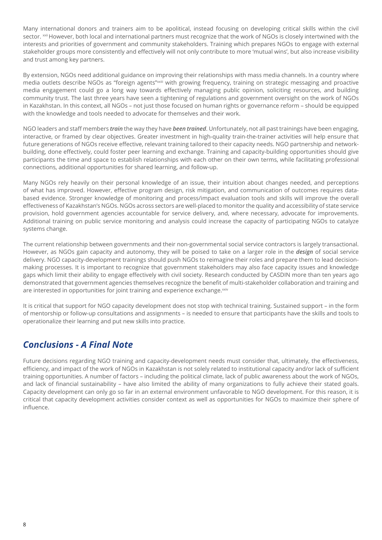Many international donors and trainers aim to be apolitical, instead focusing on developing critical skills within the civil sector. xxii However, both local and international partners must recognize that the work of NGOs is closely intertwined with the interests and priorities of government and community stakeholders. Training which prepares NGOs to engage with external stakeholder groups more consistently and effectively will not only contribute to more 'mutual wins', but also increase visibility and trust among key partners.

By extension, NGOs need additional guidance on improving their relationships with mass media channels. In a country where media outlets describe NGOs as "foreign agents"xxiii with growing frequency, training on strategic messaging and proactive media engagement could go a long way towards effectively managing public opinion, soliciting resources, and building community trust. The last three years have seen a tightening of regulations and government oversight on the work of NGOs in Kazakhstan. In this context, all NGOs – not just those focused on human rights or governance reform – should be equipped with the knowledge and tools needed to advocate for themselves and their work.

NGO leaders and staff members *train* the way they have *been trained*. Unfortunately, not all past trainings have been engaging, interactive, or framed by clear objectives. Greater investment in high-quality train-the-trainer activities will help ensure that future generations of NGOs receive effective, relevant training tailored to their capacity needs. NGO partnership and networkbuilding, done effectively, could foster peer learning and exchange. Training and capacity-building opportunities should give participants the time and space to establish relationships with each other on their own terms, while facilitating professional connections, additional opportunities for shared learning, and follow-up.

Many NGOs rely heavily on their personal knowledge of an issue, their intuition about changes needed, and perceptions of what has improved. However, effective program design, risk mitigation, and communication of outcomes requires databased evidence. Stronger knowledge of monitoring and process/impact evaluation tools and skills will improve the overall effectiveness of Kazakhstan's NGOs. NGOs across sectors are well-placed to monitor the quality and accessibility of state service provision, hold government agencies accountable for service delivery, and, where necessary, advocate for improvements. Additional training on public service monitoring and analysis could increase the capacity of participating NGOs to catalyze systems change.

The current relationship between governments and their non-governmental social service contractors is largely transactional. However, as NGOs gain capacity and autonomy, they will be poised to take on a larger role in the *design* of social service delivery. NGO capacity-development trainings should push NGOs to reimagine their roles and prepare them to lead decisionmaking processes. It is important to recognize that government stakeholders may also face capacity issues and knowledge gaps which limit their ability to engage effectively with civil society. Research conducted by CASDIN more than ten years ago demonstrated that government agencies themselves recognize the benefit of multi-stakeholder collaboration and training and are interested in opportunities for joint training and experience exchange.<sup>xxiv</sup>

It is critical that support for NGO capacity development does not stop with technical training. Sustained support – in the form of mentorship or follow-up consultations and assignments – is needed to ensure that participants have the skills and tools to operationalize their learning and put new skills into practice.

#### *Conclusions - A Final Note*

Future decisions regarding NGO training and capacity-development needs must consider that, ultimately, the effectiveness, efficiency, and impact of the work of NGOs in Kazakhstan is not solely related to institutional capacity and/or lack of sufficient training opportunities. A number of factors – including the political climate, lack of public awareness about the work of NGOs, and lack of financial sustainability – have also limited the ability of many organizations to fully achieve their stated goals. Capacity development can only go so far in an external environment unfavorable to NGO development. For this reason, it is critical that capacity development activities consider context as well as opportunities for NGOs to maximize their sphere of influence.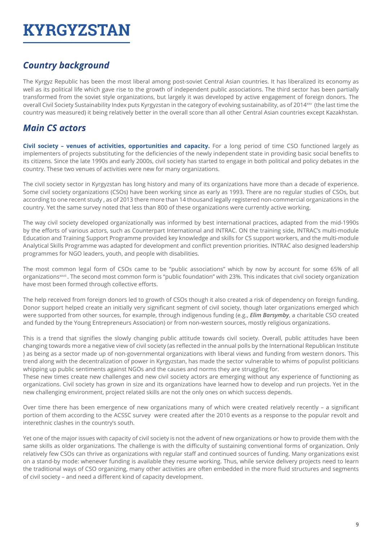## **KYRGYZSTAN**

## *Country background*

The Kyrgyz Republic has been the most liberal among post-soviet Central Asian countries. It has liberalized its economy as well as its political life which gave rise to the growth of independent public associations. The third sector has been partially transformed from the soviet style organizations, but largely it was developed by active engagement of foreign donors. The overall Civil Society Sustainability Index puts Kyrgyzstan in the category of evolving sustainability, as of 2014xxv (the last time the country was measured) it being relatively better in the overall score than all other Central Asian countries except Kazakhstan.

### *Main CS actors*

**Civil society – venues of activities, opportunities and capacity.** For a long period of time CSO functioned largely as implementers of projects substituting for the deficiencies of the newly independent state in providing basic social benefits to its citizens. Since the late 1990s and early 2000s, civil society has started to engage in both political and policy debates in the country. These two venues of activities were new for many organizations.

The civil society sector in Kyrgyzstan has long history and many of its organizations have more than a decade of experience. Some civil society organizations (CSOs) have been working since as early as 1993. There are no regular studies of CSOs, but according to one recent study , as of 2013 there more than 14 thousand legally registered non-commercial organizations in the country. Yet the same survey noted that less than 800 of these organizations were currently active working.

The way civil society developed organizationally was informed by best international practices, adapted from the mid-1990s by the efforts of various actors, such as Counterpart International and INTRAC. ON the training side, INTRAC's multi-module Education and Training Support Programme provided key knowledge and skills for CS support workers, and the multi-module Analytical Skills Programme was adapted for development and conflict prevention priorities. INTRAC also designed leadership programmes for NGO leaders, youth, and people with disabilities.

The most common legal form of CSOs came to be "public associations" which by now by account for some 65% of all organizations<sup>xxvii</sup>. The second most common form is "public foundation" with 23%. This indicates that civil society organization have most been formed through collective efforts.

The help received from foreign donors led to growth of CSOs though it also created a risk of dependency on foreign funding. Donor support helped create an initially very significant segment of civil society, though later organizations emerged which were supported from other sources, for example, through indigenous funding (e.g., *Elim Barsymby*, a charitable CSO created and funded by the Young Entrepreneurs Association) or from non-western sources, mostly religious organizations.

This is a trend that signifies the slowly changing public attitude towards civil society. Overall, public attitudes have been changing towards more a negative view of civil society (as reflected in the annual polls by the International Republican Institute ) as being as a sector made up of non-governmental organizations with liberal views and funding from western donors. This trend along with the decentralization of power in Kyrgyzstan, has made the sector vulnerable to whims of populist politicians whipping up public sentiments against NGOs and the causes and norms they are struggling for.

These new times create new challenges and new civil society actors are emerging without any experience of functioning as organizations. Civil society has grown in size and its organizations have learned how to develop and run projects. Yet in the new challenging environment, project related skills are not the only ones on which success depends.

Over time there has been emergence of new organizations many of which were created relatively recently – a significant portion of them according to the ACSSC survey were created after the 2010 events as a response to the popular revolt and interethnic clashes in the country's south.

Yet one of the major issues with capacity of civil society is not the advent of new organizations or how to provide them with the same skills as older organizations. The challenge is with the difficulty of sustaining conventional forms of organization. Only relatively few CSOs can thrive as organizations with regular staff and continued sources of funding. Many organizations exist on a stand-by mode: whenever funding is available they resume working. Thus, while service delivery projects need to learn the traditional ways of CSO organizing, many other activities are often embedded in the more fluid structures and segments of civil society – and need a different kind of capacity development.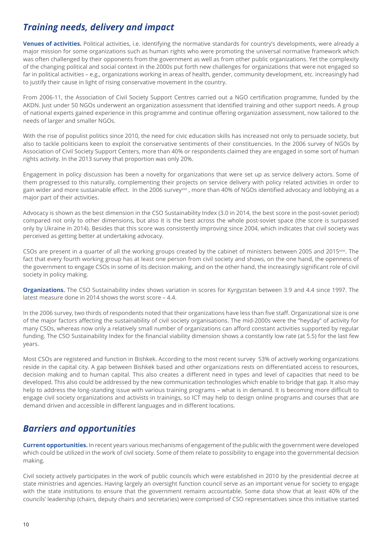### *Training needs, delivery and impact*

**Venues of activities.** Political activities, i.e. identifying the normative standards for country's developments, were already a major mission for some organizations such as human rights who were promoting the universal normative framework which was often challenged by their opponents from the government as well as from other public organizations. Yet the complexity of the changing political and social context in the 2000s put forth new challenges for organizations that were not engaged so far in political activities – e.g., organizations working in areas of health, gender, community development, etc. increasingly had to justify their cause in light of rising conservative movement in the country.

From 2006-11, the Association of Civil Society Support Centres carried out a NGO certification programme, funded by the AKDN. Just under 50 NGOs underwent an organization assessment that identified training and other support needs. A group of national experts gained experience in this programme and continue offering organization assessment, now tailored to the needs of larger and smaller NGOs.

With the rise of populist politics since 2010, the need for civic education skills has increased not only to persuade society, but also to tackle politicians keen to exploit the conservative sentiments of their constituencies. In the 2006 survey of NGOs by Association of Civil Society Support Centers, more than 40% or respondents claimed they are engaged in some sort of human rights activity. In the 2013 survey that proportion was only 20%.

Engagement in policy discussion has been a novelty for organizations that were set up as service delivery actors. Some of them progressed to this naturally, complementing their projects on service delivery with policy related activities in order to gain wider and more sustainable effect. In the 2006 survey<sup>xxx</sup>, more than 40% of NGOs identified advocacy and lobbying as a major part of their activities.

Advocacy is shown as the best dimension in the CSO Sustainability Index (3.0 in 2014, the best score in the post-soviet period) compared not only to other dimensions, but also it is the best across the whole post-soviet space (the score is surpassed only by Ukraine in 2014). Besides that this score was consistently improving since 2004, which indicates that civil society was perceived as getting better at undertaking advocacy.

CSOs are present in a quarter of all the working groups created by the cabinet of ministers between 2005 and 2015 $\frac{1}{2}$ . The fact that every fourth working group has at least one person from civil society and shows, on the one hand, the openness of the government to engage CSOs in some of its decision making, and on the other hand, the increasingly significant role of civil society in policy making.

**Organizations.** The CSO Sustainability index shows variation in scores for Kyrgyzstan between 3.9 and 4.4 since 1997. The latest measure done in 2014 shows the worst score – 4.4.

In the 2006 survey, two thirds of respondents noted that their organizations have less than five staff. Organizational size is one of the major factors affecting the sustainability of civil society organisations. The mid-2000s were the "heyday" of activity for many CSOs, whereas now only a relatively small number of organizations can afford constant activities supported by regular funding. The CSO Sustainability Index for the financial viability dimension shows a constantly low rate (at 5.5) for the last few years.

Most CSOs are registered and function in Bishkek. According to the most recent survey 53% of actively working organizations reside in the capital city. A gap between Bishkek based and other organizations rests on differentiated access to resources, decision making and to human capital. This also creates a different need in types and level of capacities that need to be developed. This also could be addressed by the new communication technologies which enable to bridge that gap. It also may help to address the long-standing issue with various training programs – what is in demand. It is becoming more difficult to engage civil society organizations and activists in trainings, so ICT may help to design online programs and courses that are demand driven and accessible in different languages and in different locations.

### *Barriers and opportunities*

**Current opportunities.** In recent years various mechanisms of engagement of the public with the government were developed which could be utilized in the work of civil society. Some of them relate to possibility to engage into the governmental decision making.

Civil society actively participates in the work of public councils which were established in 2010 by the presidential decree at state ministries and agencies. Having largely an oversight function council serve as an important venue for society to engage with the state institutions to ensure that the government remains accountable. Some data show that at least 40% of the councils' leadership (chairs, deputy chairs and secretaries) were comprised of CSO representatives since this initiative started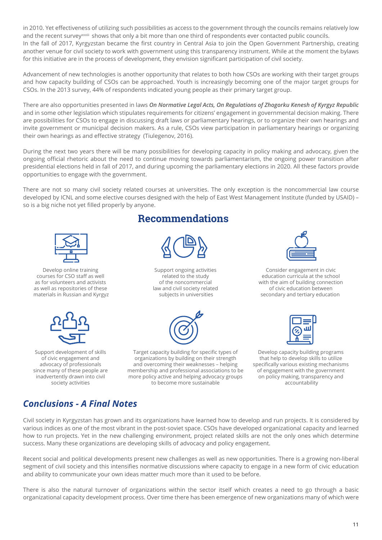in 2010. Yet effectiveness of utilizing such possibilities as access to the government through the councils remains relatively low and the recent survey<sup>xxxiii</sup> shows that only a bit more than one third of respondents ever contacted public councils. In the fall of 2017, Kyrgyzstan became the first country in Central Asia to join the Open Government Partnership, creating another venue for civil society to work with government using this transparency instrument. While at the moment the bylaws for this initiative are in the process of development, they envision significant participation of civil society.

Advancement of new technologies is another opportunity that relates to both how CSOs are working with their target groups and how capacity building of CSOs can be approached. Youth is increasingly becoming one of the major target groups for CSOs. In the 2013 survey, 44% of respondents indicated young people as their primary target group.

There are also opportunities presented in laws *On Normative Legal Acts, On Regulations of Zhogorku Kenesh of Kyrgyz Republic*  and in some other legislation which stipulates requirements for citizens' engagement in governmental decision making. There are possibilities for CSOs to engage in discussing draft laws or parliamentary hearings, or to organize their own hearings and invite government or municipal decision makers. As a rule, CSOs view participation in parliamentary hearings or organizing their own hearings as and effective strategy (Tiulegenov, 2016).

During the next two years there will be many possibilities for developing capacity in policy making and advocacy, given the ongoing official rhetoric about the need to continue moving towards parliamentarism, the ongoing power transition after presidential elections held in fall of 2017, and during upcoming the parliamentary elections in 2020. All these factors provide opportunities to engage with the government.

There are not so many civil society related courses at universities. The only exception is the noncommercial law course developed by ICNL and some elective courses designed with the help of East West Management Institute (funded by USAID) – so is a big niche not yet filled properly by anyone.



Develop online training courses for CSO staff as well as for volunteers and activists as well as repositories of these materials in Russian and Kyrgyz



Support development of skills of civic engagement and advocacy of professionals since many of these people are inadvertently drawn into civil society activities

## **Recommendations**



Support ongoing activities related to the study of the noncommercial law and civil society related subjects in universities



Target capacity building for specific types of organizations by building on their strength and overcoming their weaknesses – helping membership and professional associations to be more policy active and helping advocacy groups to become more sustainable



Consider engagement in civic education curricula at the school with the aim of building connection of civic education between secondary and tertiary education



Develop capacity building programs that help to develop skills to utilize specifically various existing mechanisms of engagement with the government on policy making, transparency and accountability

## *Conclusions - A Final Notes*

Civil society in Kyrgyzstan has grown and its organizations have learned how to develop and run projects. It is considered by various indices as one of the most vibrant in the post-soviet space. CSOs have developed organizational capacity and learned how to run projects. Yet in the new challenging environment, project related skills are not the only ones which determine success. Many these organizations are developing skills of advocacy and policy engagement.

Recent social and political developments present new challenges as well as new opportunities. There is a growing non-liberal segment of civil society and this intensifies normative discussions where capacity to engage in a new form of civic education and ability to communicate your own ideas matter much more than it used to be before.

There is also the natural turnover of organizations within the sector itself which creates a need to go through a basic organizational capacity development process. Over time there has been emergence of new organizations many of which were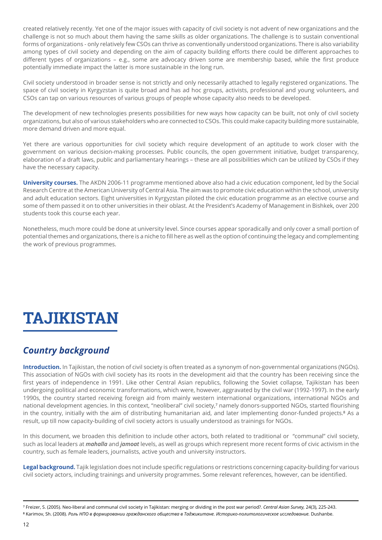created relatively recently. Yet one of the major issues with capacity of civil society is not advent of new organizations and the challenge is not so much about them having the same skills as older organizations. The challenge is to sustain conventional forms of organizations - only relatively few CSOs can thrive as conventionally understood organizations. There is also variability among types of civil society and depending on the aim of capacity building efforts there could be different approaches to different types of organizations – e.g., some are advocacy driven some are membership based, while the first produce potentially immediate impact the latter is more sustainable in the long run.

Civil society understood in broader sense is not strictly and only necessarily attached to legally registered organizations. The space of civil society in Kyrgyzstan is quite broad and has ad hoc groups, activists, professional and young volunteers, and CSOs can tap on various resources of various groups of people whose capacity also needs to be developed.

The development of new technologies presents possibilities for new ways how capacity can be built, not only of civil society organizations, but also of various stakeholders who are connected to CSOs. This could make capacity building more sustainable, more demand driven and more equal.

Yet there are various opportunities for civil society which require development of an aptitude to work closer with the government on various decision-making processes. Public councils, the open government initiative, budget transparency, elaboration of a draft laws, public and parliamentary hearings – these are all possibilities which can be utilized by CSOs if they have the necessary capacity.

**University courses.** The AKDN 2006-11 programme mentioned above also had a civic education component, led by the Social Research Centre at the American University of Central Asia. The aim was to promote civic education within the school, university and adult education sectors. Eight universities in Kyrgyzstan piloted the civic education programme as an elective course and some of them passed it on to other universities in their oblast. At the President's Academy of Management in Bishkek, over 200 students took this course each year.

Nonetheless, much more could be done at university level. Since courses appear sporadically and only cover a small portion of potential themes and organizations, there is a niche to fill here as well as the option of continuing the legacy and complementing the work of previous programmes.

## **TAJIKISTAN**

## *Country background*

**Introduction.** In Tajikistan, the notion of civil society is often treated as a synonym of non-governmental organizations (NGOs). This association of NGOs with civil society has its roots in the development aid that the country has been receiving since the first years of independence in 1991. Like other Central Asian republics, following the Soviet collapse, Tajikistan has been undergoing political and economic transformations, which were, however, aggravated by the civil war (1992-1997). In the early 1990s, the country started receiving foreign aid from mainly western international organizations, international NGOs and national development agencies. In this context, "neoliberal" civil society,7 namely donors-supported NGOs, started flourishing in the country, initially with the aim of distributing humanitarian aid, and later implementing donor-funded projects.<sup>8</sup> As a result, up till now capacity-building of civil society actors is usually understood as trainings for NGOs.

In this document, we broaden this definition to include other actors, both related to traditional or "communal" civil society, such as local leaders at *mahalla* and *jamoat* levels, as well as groups which represent more recent forms of civic activism in the country, such as female leaders, journalists, active youth and university instructors.

**Legal background.** Tajik legislation does not include specific regulations or restrictions concerning capacity-building for various civil society actors, including trainings and university programmes. Some relevant references, however, can be identified.

⁷ Freizer, S. (2005). Neo-liberal and communal civil society in Tajikistan: merging or dividing in the post war period?. *Central Asian Survey,* 24(3), 225-243.

⁸ Karimov, Sh. (2008). *Роль НПО в формировании гражданского общества в Таджикитане. Историко-политологическое исследование.* Dushanbe.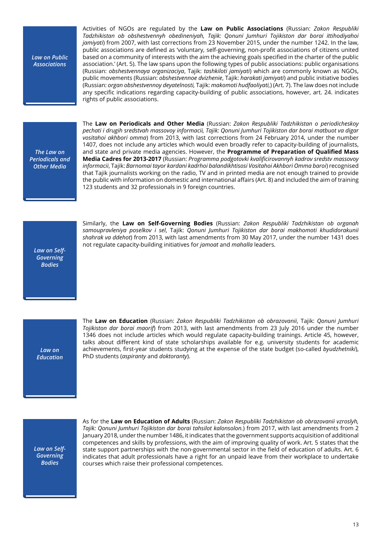*Law on Public Associations*

Activities of NGOs are regulated by the **Law on Public Associations** (Russian: *Zakon Respubliki Tadzhikistan ob obshestvennyh obedineniyah, Tajik: Qonuni Jumhuri Tojikiston dar borai ittihodiyahoi jamiyati*) from 2007, with last corrections from 23 November 2015, under the number 1242. In the law, public associations are defined as 'voluntary, self-governing, non-profit associations of citizens united based on a community of interests with the aim the achieving goals specified in the charter of the public association.' (Art. 5). The law spans upon the following types of public associations: public organisations (Russian: *obshestvennaya organizaciya*, Tajik: *tashkiloti jamiyati*) which are commonly known as NGOs, public movements (Russian: *obshestvennoe dvizhenie*, Tajik: *harakati jamiyati*) and public initiative bodies (Russian: *organ obshestvennoy deyatelnosti,* Tajik: *makomoti hudfaoliyati,*) (Art. 7). The law does not include any specific indications regarding capacity-building of public associations, however, art. 24. indicates rights of public associations.

*The Law on Periodicals and Other Media* 

The **Law on Periodicals and Other Media** (Russian: *Zakon Respubliki Tadzhikistan o periodicheskoy pechati i drugih sredstvah massovoy informacii, Tajik: Qonuni Jumhuri Tojikiston dar borai matbuot va digar vositahoi akhbori omma*) from 2013, with last corrections from 24 February 2014, under the number 1407, does not include any articles which would even broadly refer to capacity-building of journalists, and state and private media agencies. However, the **Programme of Preparation of Qualified Mass Media Cadres for 2013-2017** (Russian: *Programma podgotovki kvalificirovannyh kadrov sredstv massovoy informacii*, Tajik: *Barnomai tayor kardani kadrhoi balandikhtisosi Vositahoi Akhbori Omma baroi*) recognised that Tajik journalists working on the radio, TV and in printed media are not enough trained to provide the public with information on domestic and international affairs (Art. 8) and included the aim of training 123 students and 32 professionals in 9 foreign countries.

*Law on Self-Governing Bodies* 

Similarly, the **Law on Self-Governing Bodies** (Russian: *Zakon Respubliki Tadzhikistan ob organah samoupravleniya poselkov i sel*, Tajik: *Qonuni Jumhuri Tojikiston dar borai makhomoti khudidorakunii shahrak va ddehot*) from 2013, with last amendments from 30 May 2017, under the number 1431 does not regulate capacity-building initiatives for *jamoat* and *mahalla* leaders.

*Law on Education*  The **Law on Education** (Russian: *Zakon Respubliki Tadzhikistan ob obrazovanii*, Tajik: *Qonuni Jumhuri Tojikiston dar borai maorif*) from 2013, with last amendments from 23 July 2016 under the number 1346 does not include articles which would regulate capacity-building trainings. Article 45, however, talks about different kind of state scholarships available for e.g. university students for academic achievements, first-year students studying at the expense of the state budget (so-called *byudzhetniki*), PhD students (*aspiranty* and *doktoranty*).

*Law on Self-Governing Bodies* 

As for the **Law on Education of Adults** (Russian: *Zakon Respubliki Tadzhikistan ob obrazovanii vzroslyh, Tajik: Qonuni Jumhuri Tojikiston dar borai tahsilot kalonsolon.*) from 2017, with last amendments from 2 January 2018, under the number 1486, it indicates that the government supports acquisition of additional competences and skills by professions, with the aim of improving quality of work. Art. 5 states that the state support partnerships with the non-governmental sector in the field of education of adults. Art. 6 indicates that adult professionals have a right for an unpaid leave from their workplace to undertake courses which raise their professional competences.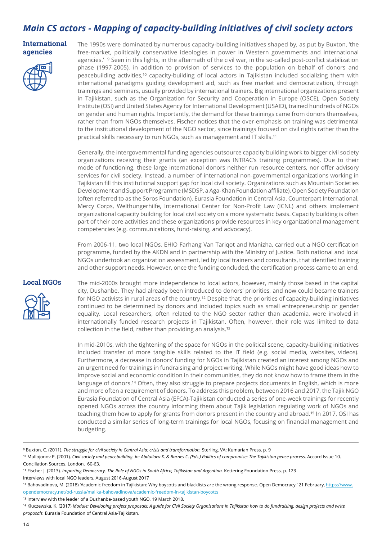## *Main CS actors - Mapping of capacity-building initiatives of civil society actors*

#### **International agencies**



The 1990s were dominated by numerous capacity-building initiatives shaped by, as put by Buxton, 'the free-market, politically conservative ideologies in power in Western governments and international agencies.' <sup>9</sup> Seen in this lights, in the aftermath of the civil war, in the so-called post-conflict stabilization phase (1997-2005), in addition to provision of services to the population on behalf of donors and peacebuilding activities,<sup>10</sup> capacity-building of local actors in Tajikistan included socializing them with international paradigms guiding development aid, such as free market and democratization, through trainings and seminars, usually provided by international trainers. Big international organizations present in Tajikistan, such as the Organization for Security and Cooperation in Europe (OSCE), Open Society Institute (OSI) and United States Agency for International Development (USAID), trained hundreds of NGOs on gender and human rights. Importantly, the demand for these trainings came from donors themselves, rather than from NGOs themselves. Fischer notices that the over-emphasis on training was detrimental to the institutional development of the NGO sector, since trainings focused on civil rights rather than the practical skills necessary to run NGOs, such as management and IT skills.<sup>11</sup>

Generally, the intergovernmental funding agencies outsource capacity building work to bigger civil society organizations receiving their grants (an exception was INTRAC's training programmes). Due to their mode of functioning, these large international donors neither run resource centers, nor offer advisory services for civil society. Instead, a number of international non-governmental organizations working in Tajikistan fill this institutional support gap for local civil society. Organizations such as Mountain Societies Development and Support Programme (MSDSP, a Aga-Khan Foundation affiliate), Open Society Foundation (often referred to as the Soros Foundation), Eurasia Foundation in Central Asia, Counterpart International, Mercy Corps, Welthungerhilfe, International Center for Non-Profit Law (ICNL) and others implement organizational capacity building for local civil society on a more systematic basis. Capacity building is often part of their core activities and these organizations provide resources in key organizational management competencies (e.g. communications, fund-raising, and advocacy).

From 2006-11, two local NGOs, EHIO Farhang Van Tariqot and Manizha, carried out a NGO certification programme, funded by the AKDN and in partnership with the Ministry of Justice. Both national and local NGOs undertook an organization assessment, led by local trainers and consultants, that identified training and other support needs. However, once the funding concluded, the certification process came to an end.

#### **Local NGOs**



The mid-2000s brought more independence to local actors, however, mainly those based in the capital city, Dushanbe. They had already been introduced to donors' priorities, and now could became trainers for NGO activists in rural areas of the country.<sup>12</sup> Despite that, the priorities of capacity-building initiatives continued to be determined by donors and included topics such as small entrepreneurship or gender equality. Local researchers, often related to the NGO sector rather than academia, were involved in internationally funded research projects in Tajikistan. Often, however, their role was limited to data collection in the field, rather than providing an analysis.<sup>13</sup>

In mid-2010s, with the tightening of the space for NGOs in the political scene, capacity-building initiatives included transfer of more tangible skills related to the IT field (e.g. social media, websites, videos). Furthermore, a decrease in donors' funding for NGOs in Tajikistan created an interest among NGOs and an urgent need for trainings in fundraising and project writing. While NGOs might have good ideas how to improve social and economic condition in their communities, they do not know how to frame them in the language of donors.<sup>14</sup> Often, they also struggle to prepare projects documents in English, which is more and more often a requirement of donors. To address this problem, between 2016 and 2017, the Tajik NGO Eurasia Foundation of Central Asia (EFCA)-Tajikistan conducted a series of one-week trainings for recently opened NGOs across the country informing them about Tajik legislation regulating work of NGOs and teaching them how to apply for grants from donors present in the country and abroad.<sup>15</sup> In 2017, OSI has conducted a similar series of long-term trainings for local NGOs, focusing on financial management and budgeting.

⁹ Buxton, C. (2011). *The struggle for civil society in Central Asia: crisis and transformation.* Sterling, VA: Kumarian Press, p. 9

<sup>&</sup>lt;sup>10</sup> Mullojonov P. (2001). Civil society and peacebuilding. In: Abdullaev K. & Barnes C. (Eds.) Politics of compromise: The Tajikistan peace process. Accord Issue 10. Conciliation Sources. London. 60-63.

<sup>&</sup>lt;sup>11</sup> Fischer J. (2013). *Importing Democracy. The Role of NGOs in South Africa, Tajikistan and Argentina. Kettering Foundation Press. p. 123* Interviews with local NGO leaders, August 2016-August 2017

<sup>&</sup>lt;sup>12</sup> Bahovadinova, M. (2018) 'Academic freedom in Tajikistan: Why boycotts and blacklists are the wrong response. Open Democracy.' 21 February, https://www. opendemocracy.net/od-russia/malika-bahovadinova/academic-freedom-in-tajikistan-boycotts

<sup>&</sup>lt;sup>13</sup> Interview with the leader of a Dushanbe-based youth NGO, 19 March 2018.

<sup>14</sup> Kluczewska, K. (2017) Module: Developing project proposals: A guide for Civil Society Organisations in Tajikistan how to do fundraising, design projects and write *proposals.* Eurasia Foundation of Central Asia-Tajikistan.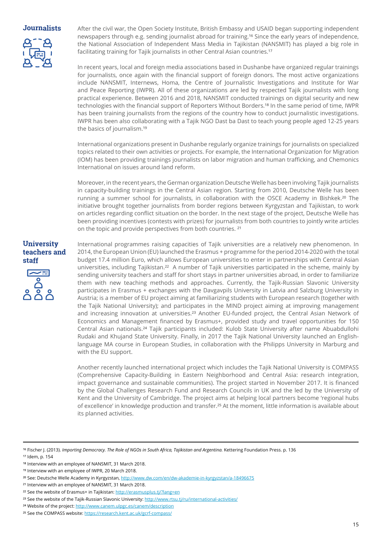#### **Journalists**



After the civil war, the Open Society Institute, British Embassy and USAID began supporting independent newspapers through e.g. sending journalist abroad for training.<sup>16</sup> Since the early years of independence, the National Association of Independent Mass Media in Tajikistan (NANSMIT) has played a big role in facilitating training for Tajik journalists in other Central Asian countries.<sup>17</sup>

In recent years, local and foreign media associations based in Dushanbe have organized regular trainings for journalists, once again with the financial support of foreign donors. The most active organizations include NANSMIT, Internews, Homa, the Centre of Journalistic Investigations and Institute for War and Peace Reporting (IWPR). All of these organizations are led by respected Tajik journalists with long practical experience. Between 2016 and 2018, NANSMIT conducted trainings on digital security and new technologies with the financial support of Reporters Without Borders.<sup>18</sup> In the same period of time, IWPR has been training journalists from the regions of the country how to conduct journalistic investigations. IWPR has been also collaborating with a Tajik NGO Dast ba Dast to teach young people aged 12-25 years the basics of journalism.<sup>19</sup>

International organizations present in Dushanbe regularly organize trainings for journalists on specialized topics related to their own activities or projects. For example, the International Organization for Migration (IOM) has been providing trainings journalists on labor migration and human trafficking, and Chemonics International on issues around land reform.

Moreover, in the recent years, the German organization Deutsche Welle has been involving Tajik journalists in capacity-building trainings in the Central Asian region. Starting from 2010, Deutsche Welle has been running a summer school for journalists, in collaboration with the OSCE Academy in Bishkek.<sup>20</sup> The initiative brought together journalists from border regions between Kyrgyzstan and Tajikistan, to work on articles regarding conflict situation on the border. In the next stage of the project, Deutsche Welle has been providing incentives (contests with prizes) for journalists from both countries to jointly write articles on the topic and provide perspectives from both countries. <sup>21</sup>

#### **University teachers and staff**



International programmes raising capacities of Tajik universities are a relatively new phenomenon. In 2014, the European Union (EU) launched the Erasmus + programme for the period 2014-2020 with the total budget 17.4 million Euro, which allows European universities to enter in partnerships with Central Asian universities, including Tajikistan.<sup>22</sup> A number of Tajik universities participated in the scheme, mainly by sending university teachers and staff for short stays in partner universities abroad, in order to familiarize them with new teaching methods and approaches. Currently, the Tajik-Russian Slavonic University participates in Erasmus + exchanges with the Davgavpils University in Latvia and Salzburg University in Austria; is a member of EU project aiming at familiarizing students with European research (together with the Tajik National University); and participates in the MIND project aiming at improving management and increasing innovation at universities.<sup>23</sup> Another EU-funded project, the Central Asian Network of Economics and Management financed by Erasmus+, provided study and travel opportunities for 150 Central Asian nationals.<sup>24</sup> Tajik participants included: Kulob State University after name Abuabdullohi Rudaki and Khujand State University. Finally, in 2017 the Tajik National University launched an Englishlanguage MA course in European Studies, in collaboration with the Philipps University in Marburg and with the EU support.

Another recently launched international project which includes the Tajik National University is COMPASS (Comprehensive Capacity-Building in Eastern Neighborhood and Central Asia: research integration, impact governance and sustainable communities). The project started in November 2017. It is financed by the Global Challenges Research Fund and Research Councils in UK and the led by the University of Kent and the University of Cambridge. The project aims at helping local partners become 'regional hubs of excellence' in knowledge production and transfer.<sup>25</sup> At the moment, little information is available about its planned activities.

17 Idem, p. 154

<sup>&</sup>lt;sup>16</sup> Fischer J. (2013). *Importing Democracy. The Role of NGOs in South Africa, Tajikistan and Argentina. Kettering Foundation Press. p. 136* 

<sup>&</sup>lt;sup>18</sup> Interview with an employee of NANSMIT, 31 March 2018.

<sup>&</sup>lt;sup>19</sup> Interview with an employee of IWPR, 20 March 2018.

<sup>&</sup>lt;sup>20</sup> See: Deutsche Welle Academy in Kyrgyzstan, http://www.dw.com/en/dw-akademie-in-kyrgyzstan/a-18496675

<sup>&</sup>lt;sup>21</sup> Interview with an employee of NANSMIT, 31 March 2018.

<sup>&</sup>lt;sup>22</sup> See the website of Erasmus+ in Tajikistan: http://erasmusplus.tj/?lang=en

<sup>&</sup>lt;sup>23</sup> See the website of the Tajik-Russian Slavonic University: http://www.rtsu.tj/ru/international-activities/

<sup>&</sup>lt;sup>24</sup> Website of the project: http://www.canem.ulpgc.es/canem/description

<sup>&</sup>lt;sup>25</sup> See the COMPASS website: https://research.kent.ac.uk/gcrf-compass/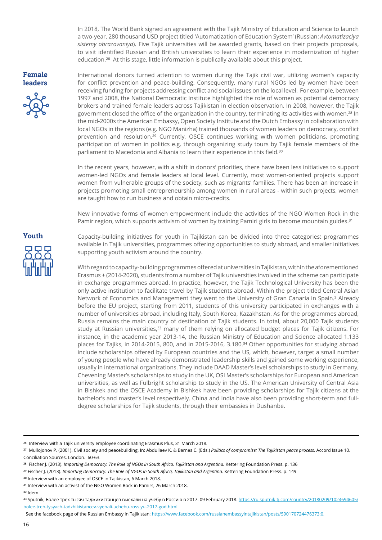In 2018, The World Bank signed an agreement with the Tajik Ministry of Education and Science to launch a two-year, 280 thousand USD project titled 'Automatization of Education System' (Russian: *Avtomatizaciya sistemy obrazovaniya*). Five Tajik universities will be awarded grants, based on their projects proposals, to visit identified Russian and British universities to learn their experience in modernization of higher education.<sup>26</sup> At this stage, little information is publically available about this project.

**Female leaders**

International donors turned attention to women during the Tajik civil war, utilizing women's capacity for conflict prevention and peace-building. Consequently, many rural NGOs led by women have been receiving funding for projects addressing conflict and social issues on the local level. For example, between 1997 and 2008, the National Democratic Institute highlighted the role of women as potential democracy brokers and trained female leaders across Tajikistan in election observation. In 2008, however, the Tajik government closed the office of the organization in the country, terminating its activities with women.<sup>28</sup> In the mid-2000s the American Embassy, Open Society Institute and the Dutch Embassy in collaboration with local NGOs in the regions (e.g. NGO Manizha) trained thousands of women leaders on democracy, conflict prevention and resolution.<sup>29</sup> Currently, OSCE continues working with women politicians, promoting participation of women in politics e.g. through organizing study tours by Tajik female members of the parliament to Macedonia and Albania to learn their experience in this field.<sup>30</sup>

In the recent years, however, with a shift in donors' priorities, there have been less initiatives to support women-led NGOs and female leaders at local level. Currently, most women-oriented projects support women from vulnerable groups of the society, such as migrants' families. There has been an increase in projects promoting small entrepreneurship among women in rural areas - within such projects, women are taught how to run business and obtain micro-credits.

New innovative forms of women empowerment include the activities of the NGO Women Rock in the Pamir region, which supports activism of women by training Pamiri girls to become mountain guides.<sup>31</sup>

Capacity-building initiatives for youth in Tajikistan can be divided into three categories: programmes available in Tajik universities, programmes offering opportunities to study abroad, and smaller initiatives supporting youth activism around the country.

With regard to capacity-building programmes offered at universities in Tajikistan, within the aforementioned Erasmus + (2014-2020), students from a number of Tajik universities involved in the scheme can participate in exchange programmes abroad. In practice, however, the Tajik Technological University has been the only active institution to facilitate travel by Tajik students abroad. Within the project titled Central Asian Network of Economics and Management they went to the University of Gran Canaria in Spain.<sup>3</sup> Already before the EU project, starting from 2011, students of this university participated in exchanges with a number of universities abroad, including Italy, South Korea, Kazakhstan. As for the programmes abroad, Russia remains the main country of destination of Tajik students. In total, about 20,000 Tajik students study at Russian universities,<sup>33</sup> many of them relying on allocated budget places for Tajik citizens. For instance, in the academic year 2013-14, the Russian Ministry of Education and Science allocated 1.133 places for Tajiks, in 2014-2015, 800, and in 2015-2016, 3.180.<sup>34</sup> Other opportunities for studying abroad include scholarships offered by European countries and the US, which, however, target a small number of young people who have already demonstrated leadership skills and gained some working experience, usually in international organizations. They include DAAD Master's level scholarships to study in Germany, Chevening Master's scholarships to study in the UK, OSI Master's scholarships for European and American universities, as well as Fulbright scholarship to study in the US. The American University of Central Asia in Bishkek and the OSCE Academy in Bishkek have been providing scholarships for Tajik citizens at the bachelor's and master's level respectively. China and India have also been providing short-term and fulldegree scholarships for Tajik students, through their embassies in Dushanbe.

<sup>31</sup> Interview with an activist of the NGO Women Rock in Pamirs, 26 March 2018.

³² Idem.

See the facebook page of the Russian Embassy in Tajikistan: https://www.facebook.com/russianembassyintajikistan/posts/590170724476373:0.

<sup>&</sup>lt;sup>26</sup> Interview with a Tajik university employee coordinating Erasmus Plus, 31 March 2018.

<sup>&</sup>lt;sup>27</sup> Mullojonov P. (2001). Civil society and peacebuilding. In: Abdullaev K. & Barnes C. (Eds.) *Politics of compromise: The Tajikistan peace process.* Accord Issue 10. Conciliation Sources. London. 60-63.

<sup>&</sup>lt;sup>28</sup> Fischer J. (2013). *Importing Democracy. The Role of NGOs in South Africa, Tajikistan and Argentina. Kettering Foundation Press. p. 136* 

<sup>&</sup>lt;sup>29</sup> Fischer J. (2013). *Importing Democracy. The Role of NGOs in South Africa, Tajikistan and Argentina. Kettering Foundation Press. p. 149* 

<sup>&</sup>lt;sup>30</sup> Interview with an employee of OSCE in Tajikistan, 6 March 2018.

<sup>33</sup> Sputnik, Более трех тысяч таджикистанцев выехали на учебу в Россию в 2017. 09 February 2018. https://ru.sputnik-tj.com/country/20180209/1024694605/ bolee-treh-tysyach-tadzhikistancev-vyehali-uchebu-rossiyu-2017-god.html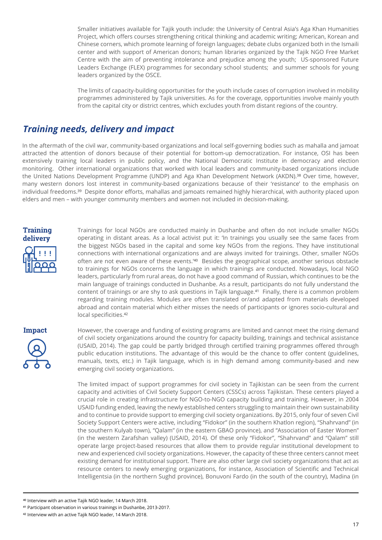Smaller initiatives available for Tajik youth include: the University of Central Asia's Aga Khan Humanities Project, which offers courses strengthening critical thinking and academic writing; American, Korean and Chinese corners, which promote learning of foreign languages; debate clubs organized both in the Ismaili center and with support of American donors; human libraries organized by the Tajik NGO Free Market Centre with the aim of preventing intolerance and prejudice among the youth; US-sponsored Future Leaders Exchange (FLEX) programmes for secondary school students; and summer schools for young leaders organized by the OSCE.

The limits of capacity-building opportunities for the youth include cases of corruption involved in mobility programmes administered by Tajik universities. As for the coverage, opportunities involve mainly youth from the capital city or district centres, which excludes youth from distant regions of the country.

#### *Training needs, delivery and impact*

In the aftermath of the civil war, community-based organizations and local self-governing bodies such as mahalla and jamoat attracted the attention of donors because of their potential for bottom-up democratization. For instance, OSI has been extensively training local leaders in public policy, and the National Democratic Institute in democracy and election monitoring. Other international organizations that worked with local leaders and community-based organizations include the United Nations Development Programme (UNDP) and Aga Khan Development Network (AKDN).<sup>38</sup> Over time, however, many western donors lost interest in community-based organizations because of their 'resistance' to the emphasis on individual freedoms.<sup>39</sup> Despite donor efforts, mahallas and jamoats remained highly hierarchical, with authority placed upon elders and men – with younger community members and women not included in decision-making.



Trainings for local NGOs are conducted mainly in Dushanbe and often do not include smaller NGOs operating in distant areas. As a local activist put it: 'In trainings you usually see the same faces from the biggest NGOs based in the capital and some key NGOs from the regions. They have institutional connections with international organizations and are always invited for trainings. Other, smaller NGOs often are not even aware of these events.'40 Besides the geographical scope, another serious obstacle to trainings for NGOs concerns the language in which trainings are conducted. Nowadays, local NGO leaders, particularly from rural areas, do not have a good command of Russian, which continues to be the main language of trainings conducted in Dushanbe. As a result, participants do not fully understand the content of trainings or are shy to ask questions in Taiik language.<sup>41</sup> Finally, there is a common problem regarding training modules. Modules are often translated or/and adapted from materials developed abroad and contain material which either misses the needs of participants or ignores socio-cultural and local specificities.<sup>42</sup>



However, the coverage and funding of existing programs are limited and cannot meet the rising demand of civil society organizations around the country for capacity building, trainings and technical assistance (USAID, 2014). The gap could be partly bridged through certified training programmes offered through public education institutions. The advantage of this would be the chance to offer content (guidelines, manuals, texts, etc.) in Tajik language, which is in high demand among community-based and new emerging civil society organizations.

The limited impact of support programmes for civil society in Tajikistan can be seen from the current capacity and activities of Civil Society Support Centers (CSSCs) across Tajikistan. These centers played a crucial role in creating infrastructure for NGO-to-NGO capacity building and training. However, in 2004 USAID funding ended, leaving the newly established centers struggling to maintain their own sustainability and to continue to provide support to emerging civil society organizations. By 2015, only four of seven Civil Society Support Centers were active, including "Fidokor" (in the southern Khatlon region), "Shahrvand" (in the southern Kulyab town), "Qalam" (in the eastern GBAO province), and "Association of Easter Women" (in the western Zarafshan valley) (USAID, 2014). Of these only "Fidokor", "Shahrvand" and "Qalam" still operate large project-based resources that allow them to provide regular institutional development to new and experienced civil society organizations. However, the capacity of these three centers cannot meet existing demand for institutional support. There are also other large civil society organizations that act as resource centers to newly emerging organizations, for instance, Association of Scientific and Technical Intelligentsia (in the northern Sughd province), Bonuvoni Fardo (in the south of the country), Madina (in

⁴⁰ Interview with an active Tajik NGO leader, 14 March 2018.

<sup>&</sup>lt;sup>41</sup> Participant observation in various trainings in Dushanbe, 2013-2017.

<sup>&</sup>lt;sup>42</sup> Interview with an active Tajik NGO leader, 14 March 2018.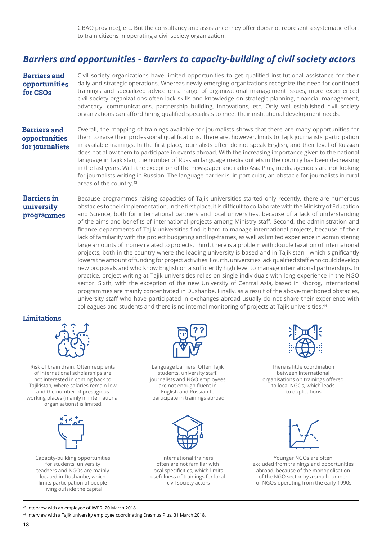GBAO province), etc. But the consultancy and assistance they offer does not represent a systematic effort to train citizens in operating a civil society organization.

## *Barriers and opportunities - Barriers to capacity-building of civil society actors*

**Barriers and opportunities for CSOs**

Civil society organizations have limited opportunities to get qualified institutional assistance for their daily and strategic operations. Whereas newly emerging organizations recognize the need for continued trainings and specialized advice on a range of organizational management issues, more experienced civil society organizations often lack skills and knowledge on strategic planning, financial management, advocacy, communications, partnership building, innovations, etc. Only well-established civil society organizations can afford hiring qualified specialists to meet their institutional development needs.

#### **Barriers and opportunities for journalists**

Overall, the mapping of trainings available for journalists shows that there are many opportunities for them to raise their professional qualifications. There are, however, limits to Tajik journalists' participation in available trainings. In the first place, journalists often do not speak English, and their level of Russian does not allow them to participate in events abroad. With the increasing importance given to the national language in Tajikistan, the number of Russian language media outlets in the country has been decreasing in the last years. With the exception of the newspaper and radio Asia Plus, media agencies are not looking for journalists writing in Russian. The language barrier is, in particular, an obstacle for journalists in rural areas of the country.<sup>43</sup>

#### **Barriers in university programmes**

Because programmes raising capacities of Tajik universities started only recently, there are numerous obstacles to their implementation. In the first place, it is difficult to collaborate with the Ministry of Education and Science, both for international partners and local universities, because of a lack of understanding of the aims and benefits of international projects among Ministry staff. Second, the administration and finance departments of Tajik universities find it hard to manage international projects, because of their lack of familiarity with the project budgeting and log-frames, as well as limited experience in administering large amounts of money related to projects. Third, there is a problem with double taxation of international projects, both in the country where the leading university is based and in Tajikistan - which significantly lowers the amount of funding for project activities. Fourth, universities lack qualified staff who could develop new proposals and who know English on a sufficiently high level to manage international partnerships. In practice, project writing at Tajik universities relies on single individuals with long experience in the NGO sector. Sixth, with the exception of the new University of Central Asia, based in Khorog, international programmes are mainly concentrated in Dushanbe. Finally, as a result of the above-mentioned obstacles, university staff who have participated in exchanges abroad usually do not share their experience with colleagues and students and there is no internal monitoring of projects at Tajik universities.<sup>44</sup>

#### **Limitations**



Risk of brain drain: Often recipients of international scholarships are not interested in coming back to Tajikistan, where salaries remain low and the number of prestigious working places (mainly in international organisations) is limited;



Capacity-building opportunities for students, university teachers and NGOs are mainly located in Dushanbe, which limits participation of people living outside the capital



Language barriers: Often Tajik students, university staff, journalists and NGO employees are not enough fluent in English and Russian to participate in trainings abroad



International trainers often are not familiar with local specificities, which limits usefulness of trainings for local civil society actors



There is little coordination between international organisations on trainings offered to local NGOs, which leads to duplications



Younger NGOs are often excluded from trainings and opportunities abroad, because of the monopolisation of the NGO sector by a small number of NGOs operating from the early 1990s

43 Interview with an employee of IWPR, 20 March 2018.

<sup>44</sup> Interview with a Tajik university employee coordinating Erasmus Plus, 31 March 2018.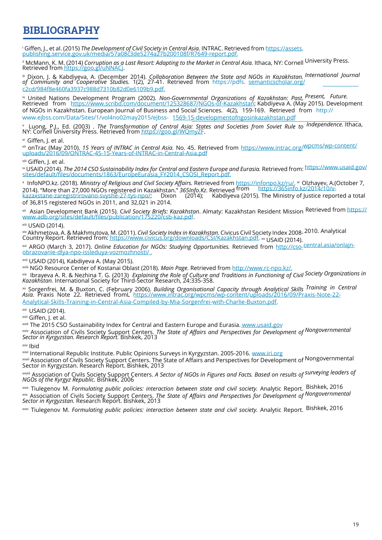## **BIBLIOGRAPHY**

<sup>i</sup> Giffen, J., et al. (2015) *The Development of Civil Society in Central Asia*. INTRAC. Retrieved from https://assets.<br>publishing.service.gov.uk/media/57a08c3de5274a27b200108f/R7649-report.pdf. publishing.service.gov.uk/media/57a08c3de5274a27b200108f/R7649-report.pdf.

ii McMann, K. M. (2014) *Corruption as a Last Resort: Adapting to the Market in Central Asia.* Ithaca, NY: Cornell University Press. Retrieved from https://goo.gl/uNNACj.

iii Dixon, J. & Kabdiyeva, A. (December 2014). *Collaboration Between the State and NGOs in Kazakhstan. International Journal of Community and Cooperative Studies.* 1(2), 27-41. Retrieved from https://pdfs. semanticscholar.org/ c2cd/984f8e460fa3937c988d7310b82d0e6109b9.pdf.

iv United Nations Development Program (2002). *Non-Governmental Organizations of Kazakhstan: Past, Present, Future.* Retrieved from <u>https://www.scribd.com/document/125328687/NGOs-of-Kazakhstan;</u> Kabdiyeva A. (May 2015). Development of NGOs in Kazakhstan. European Journal of Business and Social Sciences. 4(2), 159-169. Retrieved from http:// www.ejbss.com/Data/Sites/1/vol4no02may2015/ejbss- 1569-15-developmentofngosinkazakhstan.pdf

<sup>v</sup>Luong, P.J., Ed. (2003) . *The Transformation of Central Asia: States and Societies from Soviet Rule to Independence.* Ithaca, NY: Cornell University Press. Retrieved from <u>https://goo.gl/WQmyZF</u>.

vi Giffen, J. et al.

vii onTrac (May 2010). *15 Years of INTRAC in Central Asia.* No. 45. Retrieved from https://www.intrac.org/wpcms/wp-content/ uploads/2016/09/ONTRAC-45-15-Years-of-INTRAC-in-Central-Asia.pdf

viii Giffen, J. et al.

ix USAID (2014). *The 2014 CSO Sustainability Index for Central and Eastern Europe and Eurasia.* Retrieved from: https://www.usaid.gov/ sites/default/files/documents/1863/EuropeEurasia\_FY2014\_CSOSI\_Report.pdf.

x InfoNPO.kz. (2018). *Ministry of Religious and Civil Society Affairs.* Retrieved from https://infonpo.kz/ru/. xi Olzhayev, A.(October 7, 2014). "More than 27,000 NGOs registered in Kazakhstan." *365Info.Kz.* Retrieved from https://365info.kz/2014/10/vkazaxstane-zaregistrirovano-svyshe-27-tys-npo/; Dixon (2014); Kabdiyeva (2015). The Ministry of Justice reported a total of 36,815 registered NGOs in 2011, and 32,021 in 2014.

xii Asian Development Bank (2015). C*ivil Society Briefs: Kazakhstan*. Almaty: Kazakhstan Resident Mission Retrieved from https:// www.adb.org/sites/default/files/publication/175220/csb-kaz.pdf.

xiii USAID (2014).

xiv Akhmetova, A. & Makhmutova, M. (2011). *Civil Society Index in Kazakhstan.* Civicus Civil Society Index 2008- 2010. Analytical Country Report. Retrieved from: https://www.civicus.org/downloads/CSI/Kazakhstan.pdf. xv USAID (2014).

xvi ARGO (March 3, 2017). *Online Education for NGOs: Studying Opportunities.* Retrieved from http://cso-central.asia/onlajnobrazovanie-dlya-npo-issleduya-vozmozhnosti/ .

xvii USAID (2014), Kabdiyeva A. (May 2015).

xviii NGO Resource Center of Kostanai Oblast (2018). *Main Page.* Retrieved from http://www.rc-npo.kz/.

xix Ibrayeva A. R. & Nezhina T. G. (2013) *Explaining the Role of Culture and Traditions in Functioning of Civil Society Organizations in Kazakhstan.* International Society for Third-Sector Research, 24:335-358.

xx Sorgenfrei, M. & Buxton, C. (February 2006). *Building Organisational Capacity through Analytical Skills Training in Central Asia.* Praxis Note 22. Retrieved fromL https://www.intrac.org/wpcms/wp-content/uploads/2016/09/Praxis-Note-22- Analytical-Skills-Training-in-Central-Asia-Compiled-by-Mia-Sorgenfrei-with-Charlie-Buxton.pdf.

xxi USAID (2014).

xxii Giffen, J. et al.

xxiii The 2015 CSO Sustainability Index for Central and Eastern Europe and Eurasia. www.usaid.gov

xxiv Association of Civils Society Support Centers. *The State of Affairs and Perspectives for Development of Nongovernmental Sector in Kyrgyzstan. Research Report.* Bishkek, 2013

xxv Ibid

xxvi International Republic Institute. Public Opinions Surveys in Kyrgyzstan. 2005-2016. www.iri.org

xxvii Association of Civils Society Support Centers. The State of Affairs and Perspectives for Development of Nongovernmental Sector in Kyrgyzstan. Research Report. Bishkek, 2013

xxviii Association of Civils Society Support Centers. *A Sector of NGOs in Figures and Facts. Based on results of surveying leaders of NGOs of the Kyrgyz Republic.* Bishkek, 2006

xxix Tiulegenov M. *Formulating public policies: interaction between state and civil society.* Analytic Report. Bishkek, 2016 xxx Association of Civils Society Support Centers. *The State of Affairs and Perspectives for Development of Nongovernmental Sector in Kyrgyzstan.* Research Report. Bishkek, 2013

xxxi Tiulegenov M. *Formulating public policies: interaction between state and civil society.* Analytic Report. Bishkek, 2016